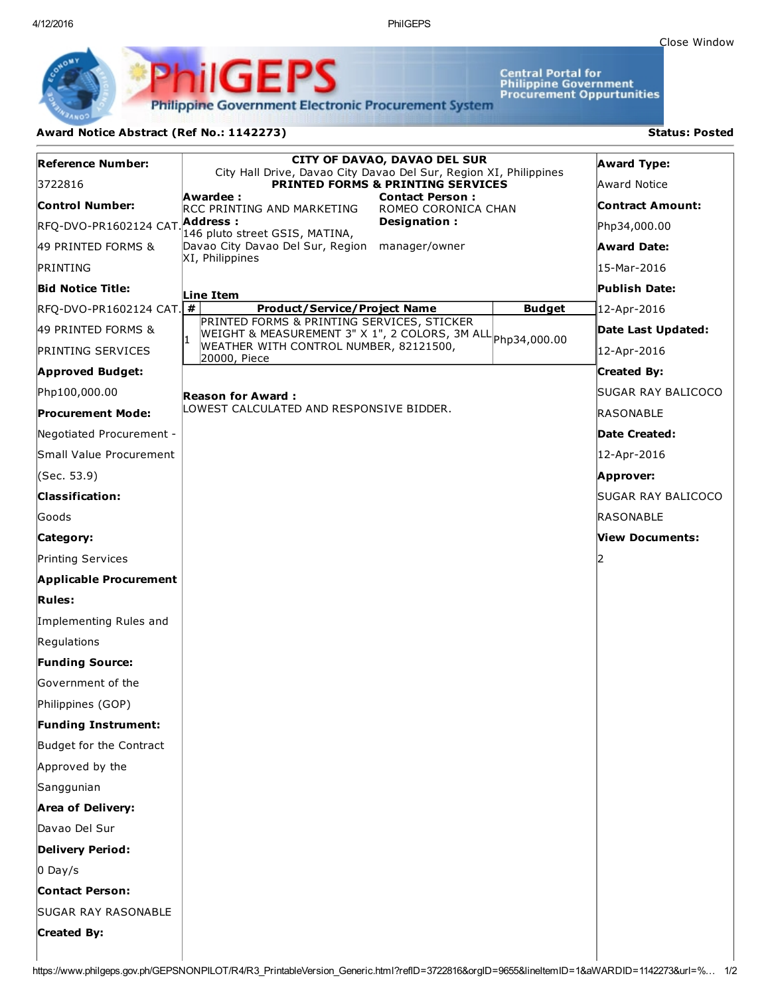Central Portal for<br>Philippine Government<br>Procurement Oppurtunities

**Philippine Government Electronic Procurement System** 

PS

## Award Notice Abstract (Ref No.: 1142273) Status: Posted

PhilGEI

| <b>Reference Number:</b>      | <b>CITY OF DAVAO, DAVAO DEL SUR</b>                                                                               | <b>Award Type:</b>      |
|-------------------------------|-------------------------------------------------------------------------------------------------------------------|-------------------------|
| 3722816                       | City Hall Drive, Davao City Davao Del Sur, Region XI, Philippines<br><b>PRINTED FORMS &amp; PRINTING SERVICES</b> | Award Notice            |
| <b>Control Number:</b>        | Awardee :<br><b>Contact Person:</b><br>RCC PRINTING AND MARKETING<br>ROMEO CORONICA CHAN                          | <b>Contract Amount:</b> |
| RFQ-DVO-PR1602124 CAT.        | Address :<br>Designation:                                                                                         | Php34,000.00            |
| 49 PRINTED FORMS &            | 146 pluto street GSIS, MATINA,<br>Davao City Davao Del Sur, Region manager/owner                                  | <b>Award Date:</b>      |
| PRINTING                      | XI, Philippines                                                                                                   | 15-Mar-2016             |
| Bid Notice Title:             |                                                                                                                   | Publish Date:           |
| $RFC-DVO-PR1602124 CAT.$ #    | Line Item<br><b>Budget</b><br><b>Product/Service/Project Name</b>                                                 | 12-Apr-2016             |
| 49 PRINTED FORMS &            | PRINTED FORMS & PRINTING SERVICES, STICKER<br>WEIGHT & MEASUREMENT 3" X 1", 2 COLORS, 3M ALL Php34,000.00         | Date Last Updated:      |
| <b>PRINTING SERVICES</b>      | WEATHER WITH CONTROL NUMBER, 82121500,                                                                            | 12-Apr-2016             |
| <b>Approved Budget:</b>       | 20000, Piece                                                                                                      | <b>Created By:</b>      |
| Php100,000.00                 | Reason for Award :                                                                                                | SUGAR RAY BALICOCO      |
| <b>Procurement Mode:</b>      | LOWEST CALCULATED AND RESPONSIVE BIDDER.                                                                          | RASONABLE               |
| Negotiated Procurement -      |                                                                                                                   | Date Created:           |
| Small Value Procurement       |                                                                                                                   | 12-Apr-2016             |
| (Sec. 53.9)                   |                                                                                                                   | Approver:               |
| <b>Classification:</b>        |                                                                                                                   | SUGAR RAY BALICOCO      |
| Goods                         |                                                                                                                   | RASONABLE               |
| Category:                     |                                                                                                                   | View Documents:         |
| Printing Services             |                                                                                                                   | 12                      |
| <b>Applicable Procurement</b> |                                                                                                                   |                         |
| <b>Rules:</b>                 |                                                                                                                   |                         |
| Implementing Rules and        |                                                                                                                   |                         |
| Regulations                   |                                                                                                                   |                         |
| <b>Funding Source:</b>        |                                                                                                                   |                         |
| Government of the             |                                                                                                                   |                         |
| Philippines (GOP)             |                                                                                                                   |                         |
| <b>Funding Instrument:</b>    |                                                                                                                   |                         |
| Budget for the Contract       |                                                                                                                   |                         |
| Approved by the               |                                                                                                                   |                         |
| Sanggunian                    |                                                                                                                   |                         |
| <b>Area of Delivery:</b>      |                                                                                                                   |                         |
| Davao Del Sur                 |                                                                                                                   |                         |
| <b>Delivery Period:</b>       |                                                                                                                   |                         |
| $O$ Day/s                     |                                                                                                                   |                         |
| <b>Contact Person:</b>        |                                                                                                                   |                         |
| <b>SUGAR RAY RASONABLE</b>    |                                                                                                                   |                         |
| <b>Created By:</b>            |                                                                                                                   |                         |
|                               |                                                                                                                   |                         |